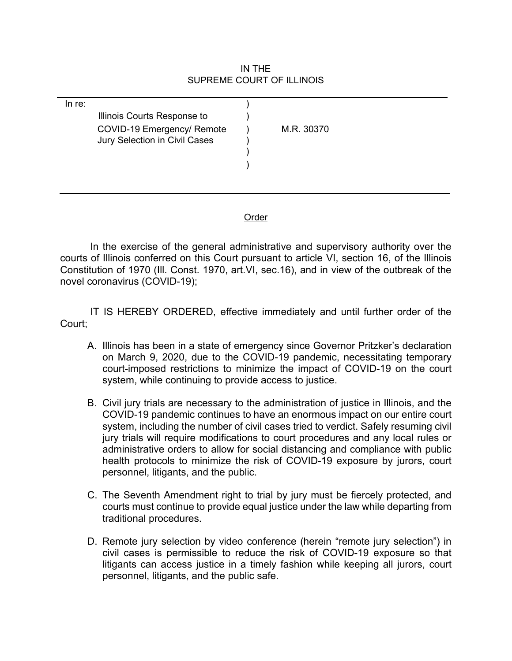## IN THE SUPREME COURT OF ILLINOIS

| In re: | Illinois Courts Response to                                 |            |
|--------|-------------------------------------------------------------|------------|
|        | COVID-19 Emergency/ Remote<br>Jury Selection in Civil Cases | M.R. 30370 |
|        |                                                             |            |
|        |                                                             |            |

## **Order**

In the exercise of the general administrative and supervisory authority over the courts of Illinois conferred on this Court pursuant to article VI, section 16, of the Illinois Constitution of 1970 (Ill. Const. 1970, art.VI, sec.16), and in view of the outbreak of the novel coronavirus (COVID-19);

IT IS HEREBY ORDERED, effective immediately and until further order of the Court;

- A. Illinois has been in a state of emergency since Governor Pritzker's declaration on March 9, 2020, due to the COVID-19 pandemic, necessitating temporary court-imposed restrictions to minimize the impact of COVID-19 on the court system, while continuing to provide access to justice.
- B. Civil jury trials are necessary to the administration of justice in Illinois, and the COVID-19 pandemic continues to have an enormous impact on our entire court system, including the number of civil cases tried to verdict. Safely resuming civil jury trials will require modifications to court procedures and any local rules or administrative orders to allow for social distancing and compliance with public health protocols to minimize the risk of COVID-19 exposure by jurors, court personnel, litigants, and the public.
- C. The Seventh Amendment right to trial by jury must be fiercely protected, and courts must continue to provide equal justice under the law while departing from traditional procedures.
- D. Remote jury selection by video conference (herein "remote jury selection") in civil cases is permissible to reduce the risk of COVID-19 exposure so that litigants can access justice in a timely fashion while keeping all jurors, court personnel, litigants, and the public safe.